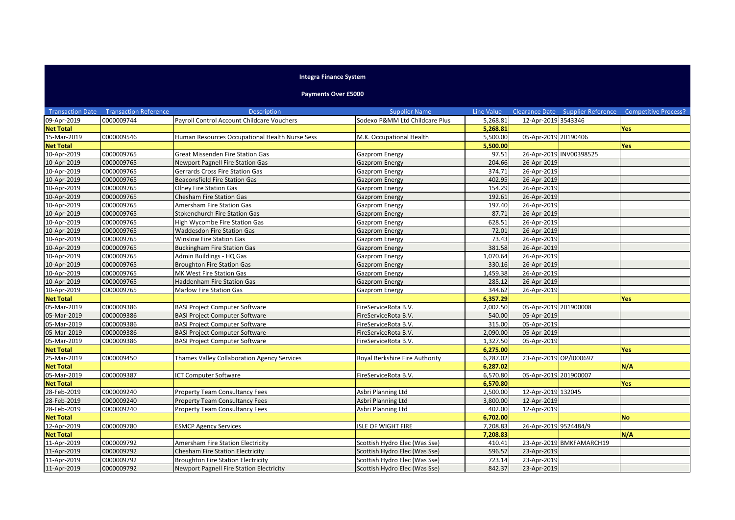## **Integra Finance System**

## **Payments Over £5000**

|                  | <b>Transaction Date Transaction Reference</b> | <b>Description</b>                             | <b>Supplier Name</b>           | Line Value |                        |                          | Clearance Date Supplier Reference Competitive Process? |
|------------------|-----------------------------------------------|------------------------------------------------|--------------------------------|------------|------------------------|--------------------------|--------------------------------------------------------|
| 09-Apr-2019      | 0000009744                                    | Payroll Control Account Childcare Vouchers     | Sodexo P&MM Ltd Childcare Plus | 5,268.81   | 12-Apr-2019 3543346    |                          |                                                        |
| <b>Net Total</b> |                                               |                                                |                                | 5,268.81   |                        |                          | <b>Yes</b>                                             |
| 15-Mar-2019      | 0000009546                                    | Human Resources Occupational Health Nurse Sess | M.K. Occupational Health       | 5,500.00   | 05-Apr-2019 20190406   |                          |                                                        |
| <b>Net Total</b> |                                               |                                                |                                | 5,500.00   |                        |                          | <b>Yes</b>                                             |
| 10-Apr-2019      | 0000009765                                    | Great Missenden Fire Station Gas               | Gazprom Energy                 | 97.51      |                        | 26-Apr-2019 INV00398525  |                                                        |
| 10-Apr-2019      | 0000009765                                    | Newport Pagnell Fire Station Gas               | <b>Gazprom Energy</b>          | 204.66     | 26-Apr-2019            |                          |                                                        |
| 10-Apr-2019      | 0000009765                                    | Gerrards Cross Fire Station Gas                | Gazprom Energy                 | 374.71     | 26-Apr-2019            |                          |                                                        |
| 10-Apr-2019      | 0000009765                                    | <b>Beaconsfield Fire Station Gas</b>           | <b>Gazprom Energy</b>          | 402.95     | 26-Apr-2019            |                          |                                                        |
| 10-Apr-2019      | 0000009765                                    | Olney Fire Station Gas                         | Gazprom Energy                 | 154.29     | 26-Apr-2019            |                          |                                                        |
| 10-Apr-2019      | 0000009765                                    | <b>Chesham Fire Station Gas</b>                | <b>Gazprom Energy</b>          | 192.61     | 26-Apr-2019            |                          |                                                        |
| 10-Apr-2019      | 0000009765                                    | Amersham Fire Station Gas                      | Gazprom Energy                 | 197.40     | 26-Apr-2019            |                          |                                                        |
| 10-Apr-2019      | 0000009765                                    | Stokenchurch Fire Station Gas                  | Gazprom Energy                 | 87.71      | 26-Apr-2019            |                          |                                                        |
| 10-Apr-2019      | 0000009765                                    | High Wycombe Fire Station Gas                  | Gazprom Energy                 | 628.51     | 26-Apr-2019            |                          |                                                        |
| 10-Apr-2019      | 0000009765                                    | Waddesdon Fire Station Gas                     | <b>Gazprom Energy</b>          | 72.01      | 26-Apr-2019            |                          |                                                        |
| 10-Apr-2019      | 0000009765                                    | Winslow Fire Station Gas                       | Gazprom Energy                 | 73.43      | 26-Apr-2019            |                          |                                                        |
| 10-Apr-2019      | 0000009765                                    | <b>Buckingham Fire Station Gas</b>             | <b>Gazprom Energy</b>          | 381.58     | 26-Apr-2019            |                          |                                                        |
| 10-Apr-2019      | 0000009765                                    | Admin Buildings - HQ Gas                       | Gazprom Energy                 | 1,070.64   | 26-Apr-2019            |                          |                                                        |
| 10-Apr-2019      | 0000009765                                    | <b>Broughton Fire Station Gas</b>              | <b>Gazprom Energy</b>          | 330.16     | 26-Apr-2019            |                          |                                                        |
| 10-Apr-2019      | 0000009765                                    | MK West Fire Station Gas                       | Gazprom Energy                 | 1,459.38   | 26-Apr-2019            |                          |                                                        |
| 10-Apr-2019      | 0000009765                                    | Haddenham Fire Station Gas                     | <b>Gazprom Energy</b>          | 285.12     | 26-Apr-2019            |                          |                                                        |
| 10-Apr-2019      | 0000009765                                    | Marlow Fire Station Gas                        | Gazprom Energy                 | 344.62     | 26-Apr-2019            |                          |                                                        |
| <b>Net Total</b> |                                               |                                                |                                | 6,357.29   |                        |                          | Yes                                                    |
| 05-Mar-2019      | 0000009386                                    | <b>BASI Project Computer Software</b>          | FireServiceRota B.V.           | 2,002.50   | 05-Apr-2019 201900008  |                          |                                                        |
| 05-Mar-2019      | 0000009386                                    | <b>BASI Project Computer Software</b>          | FireServiceRota B.V.           | 540.00     | 05-Apr-2019            |                          |                                                        |
| 05-Mar-2019      | 0000009386                                    | <b>BASI Project Computer Software</b>          | FireServiceRota B.V.           | 315.00     | 05-Apr-2019            |                          |                                                        |
| 05-Mar-2019      | 0000009386                                    | <b>BASI Project Computer Software</b>          | FireServiceRota B.V.           | 2,090.00   | 05-Apr-2019            |                          |                                                        |
| 05-Mar-2019      | 0000009386                                    | <b>BASI Project Computer Software</b>          | FireServiceRota B.V.           | 1,327.50   | 05-Apr-2019            |                          |                                                        |
| <b>Net Total</b> |                                               |                                                |                                | 6,275.00   |                        |                          | <b>Yes</b>                                             |
| 25-Mar-2019      | 0000009450                                    | Thames Valley Collaboration Agency Services    | Royal Berkshire Fire Authority | 6,287.02   | 23-Apr-2019 OP/I000697 |                          |                                                        |
| <b>Net Total</b> |                                               |                                                |                                | 6,287.02   |                        |                          | N/A                                                    |
| 05-Mar-2019      | 0000009387                                    | <b>ICT Computer Software</b>                   | FireServiceRota B.V.           | 6,570.80   | 05-Apr-2019 201900007  |                          |                                                        |
| <b>Net Total</b> |                                               |                                                |                                | 6,570.80   |                        |                          | <b>Yes</b>                                             |
| 28-Feb-2019      | 0000009240                                    | <b>Property Team Consultancy Fees</b>          | Asbri Planning Ltd             | 2,500.00   | 12-Apr-2019 132045     |                          |                                                        |
| 28-Feb-2019      | 0000009240                                    | Property Team Consultancy Fees                 | Asbri Planning Ltd             | 3,800.00   | 12-Apr-2019            |                          |                                                        |
| 28-Feb-2019      | 0000009240                                    | <b>Property Team Consultancy Fees</b>          | Asbri Planning Ltd             | 402.00     | 12-Apr-2019            |                          |                                                        |
| <b>Net Total</b> |                                               |                                                |                                | 6,702.00   |                        |                          | <b>No</b>                                              |
| 12-Apr-2019      | 0000009780                                    | <b>ESMCP Agency Services</b>                   | <b>ISLE OF WIGHT FIRE</b>      | 7,208.83   | 26-Apr-2019 9524484/9  |                          |                                                        |
| <b>Net Total</b> |                                               |                                                |                                | 7,208.83   |                        |                          | N/A                                                    |
| 11-Apr-2019      | 0000009792                                    | Amersham Fire Station Electricity              | Scottish Hydro Elec (Was Sse)  | 410.41     |                        | 23-Apr-2019 BMKFAMARCH19 |                                                        |
| 11-Apr-2019      | 0000009792                                    | <b>Chesham Fire Station Electricity</b>        | Scottish Hydro Elec (Was Sse)  | 596.57     | 23-Apr-2019            |                          |                                                        |
| 11-Apr-2019      | 0000009792                                    | <b>Broughton Fire Station Electricity</b>      | Scottish Hydro Elec (Was Sse)  | 723.14     | 23-Apr-2019            |                          |                                                        |
| 11-Apr-2019      | 0000009792                                    | Newport Pagnell Fire Station Electricity       | Scottish Hydro Elec (Was Sse)  | 842.37     | 23-Apr-2019            |                          |                                                        |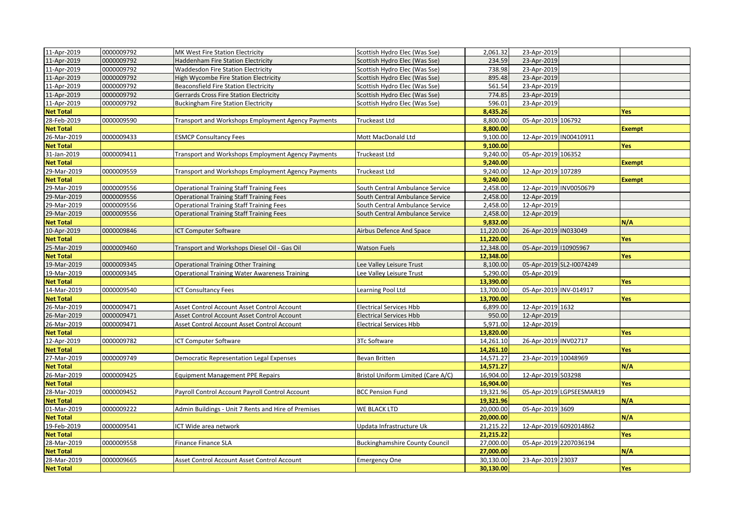| 11-Apr-2019      | 0000009792 | <b>MK West Fire Station Electricity</b>                   | Scottish Hydro Elec (Was Sse)         | 2,061.32  | 23-Apr-2019            |                          |               |
|------------------|------------|-----------------------------------------------------------|---------------------------------------|-----------|------------------------|--------------------------|---------------|
| 11-Apr-2019      | 0000009792 | <b>Haddenham Fire Station Electricity</b>                 | Scottish Hydro Elec (Was Sse)         | 234.59    | 23-Apr-2019            |                          |               |
| 11-Apr-2019      | 0000009792 | <b>Waddesdon Fire Station Electricity</b>                 | Scottish Hydro Elec (Was Sse)         | 738.98    | 23-Apr-2019            |                          |               |
| 11-Apr-2019      | 0000009792 | High Wycombe Fire Station Electricity                     | Scottish Hydro Elec (Was Sse)         | 895.48    | 23-Apr-2019            |                          |               |
| 11-Apr-2019      | 0000009792 | Beaconsfield Fire Station Electricity                     | Scottish Hydro Elec (Was Sse)         | 561.54    | 23-Apr-2019            |                          |               |
| 11-Apr-2019      | 0000009792 | Gerrards Cross Fire Station Electricity                   | Scottish Hydro Elec (Was Sse)         | 774.85    | 23-Apr-2019            |                          |               |
| 11-Apr-2019      | 0000009792 | <b>Buckingham Fire Station Electricity</b>                | Scottish Hydro Elec (Was Sse)         | 596.01    | 23-Apr-2019            |                          |               |
| <b>Net Total</b> |            |                                                           |                                       | 8,435.26  |                        |                          | Yes           |
| 28-Feb-2019      | 0000009590 | <b>Transport and Workshops Employment Agency Payments</b> | Truckeast Ltd                         | 8,800.00  | 05-Apr-2019 106792     |                          |               |
| <b>Net Total</b> |            |                                                           |                                       | 8,800.00  |                        |                          | <b>Exempt</b> |
| 26-Mar-2019      | 0000009433 | <b>ESMCP Consultancy Fees</b>                             | Mott MacDonald Ltd                    | 9,100.00  | 12-Apr-2019 IN00410911 |                          |               |
| <b>Net Total</b> |            |                                                           |                                       | 9,100.00  |                        |                          | <b>Yes</b>    |
| 31-Jan-2019      | 0000009411 | Transport and Workshops Employment Agency Payments        | Truckeast Ltd                         | 9,240.00  | 05-Apr-2019 106352     |                          |               |
| <b>Net Total</b> |            |                                                           |                                       | 9,240.00  |                        |                          | <b>Exempt</b> |
| 29-Mar-2019      | 0000009559 | Transport and Workshops Employment Agency Payments        | Truckeast Ltd                         | 9,240.00  | 12-Apr-2019 107289     |                          |               |
| <b>Net Total</b> |            |                                                           |                                       | 9,240.00  |                        |                          | <b>Exempt</b> |
| 29-Mar-2019      | 0000009556 | <b>Operational Training Staff Training Fees</b>           | South Central Ambulance Service       | 2,458.00  |                        | 12-Apr-2019 INV0050679   |               |
| 29-Mar-2019      | 0000009556 | <b>Operational Training Staff Training Fees</b>           | South Central Ambulance Service       | 2,458.00  | 12-Apr-2019            |                          |               |
| 29-Mar-2019      | 0000009556 | <b>Operational Training Staff Training Fees</b>           | South Central Ambulance Service       | 2,458.00  | 12-Apr-2019            |                          |               |
| 29-Mar-2019      | 0000009556 | <b>Operational Training Staff Training Fees</b>           | South Central Ambulance Service       | 2,458.00  | 12-Apr-2019            |                          |               |
| <b>Net Total</b> |            |                                                           |                                       | 9,832.00  |                        |                          | N/A           |
| 10-Apr-2019      | 0000009846 | <b>ICT Computer Software</b>                              | Airbus Defence And Space              | 11,220.00 | 26-Apr-2019 IN033049   |                          |               |
| <b>Net Total</b> |            |                                                           |                                       | 11,220.00 |                        |                          | Yes           |
| 25-Mar-2019      | 0000009460 | Transport and Workshops Diesel Oil - Gas Oil              | <b>Watson Fuels</b>                   | 12,348.00 | 05-Apr-2019 10905967   |                          |               |
| <b>Net Total</b> |            |                                                           |                                       | 12,348.00 |                        |                          | Yes           |
| 19-Mar-2019      | 0000009345 | <b>Operational Training Other Training</b>                | Lee Valley Leisure Trust              | 8,100.00  |                        | 05-Apr-2019 SL2-I0074249 |               |
| 19-Mar-2019      | 0000009345 | <b>Operational Training Water Awareness Training</b>      | Lee Valley Leisure Trust              | 5,290.00  | 05-Apr-2019            |                          |               |
| <b>Net Total</b> |            |                                                           |                                       | 13,390.00 |                        |                          | <b>Yes</b>    |
| 14-Mar-2019      | 0000009540 | <b>ICT Consultancy Fees</b>                               | Learning Pool Ltd                     | 13,700.00 | 05-Apr-2019 INV-014917 |                          |               |
| <b>Net Total</b> |            |                                                           |                                       | 13,700.00 |                        |                          | Yes           |
| 26-Mar-2019      | 0000009471 | Asset Control Account Asset Control Account               | <b>Electrical Services Hbb</b>        | 6,899.00  | 12-Apr-2019 1632       |                          |               |
| 26-Mar-2019      | 0000009471 | Asset Control Account Asset Control Account               | <b>Electrical Services Hbb</b>        | 950.00    | 12-Apr-2019            |                          |               |
| 26-Mar-2019      | 0000009471 | Asset Control Account Asset Control Account               | <b>Electrical Services Hbb</b>        | 5,971.00  | 12-Apr-2019            |                          |               |
| <b>Net Total</b> |            |                                                           |                                       | 13,820.00 |                        |                          | Yes           |
| 12-Apr-2019      | 0000009782 | <b>ICT Computer Software</b>                              | 3Tc Software                          | 14,261.10 | 26-Apr-2019 INV02717   |                          |               |
| <b>Net Total</b> |            |                                                           |                                       | 14,261.10 |                        |                          | Yes           |
| 27-Mar-2019      | 0000009749 | Democratic Representation Legal Expenses                  | Bevan Britten                         | 14,571.27 | 23-Apr-2019 10048969   |                          |               |
| <b>Net Total</b> |            |                                                           |                                       | 14,571.27 |                        |                          | N/A           |
| 26-Mar-2019      | 0000009425 | <b>Equipment Management PPE Repairs</b>                   | Bristol Uniform Limited (Care A/C)    | 16,904.00 | 12-Apr-2019 503298     |                          |               |
| <b>Net Total</b> |            |                                                           |                                       | 16,904.00 |                        |                          | <b>Yes</b>    |
| 28-Mar-2019      | 0000009452 | Payroll Control Account Payroll Control Account           | <b>BCC Pension Fund</b>               | 19,321.96 |                        | 05-Apr-2019 LGPSEESMAR19 |               |
| <b>Net Total</b> |            |                                                           |                                       | 19,321.96 |                        |                          | N/A           |
| 01-Mar-2019      | 0000009222 | Admin Buildings - Unit 7 Rents and Hire of Premises       | WE BLACK LTD                          | 20,000.00 | 05-Apr-2019 3609       |                          |               |
| <b>Net Total</b> |            |                                                           |                                       | 20,000.00 |                        |                          | N/A           |
| 19-Feb-2019      | 0000009541 | ICT Wide area network                                     | Updata Infrastructure Uk              | 21,215.22 |                        | 12-Apr-2019 6092014862   |               |
| <b>Net Total</b> |            |                                                           |                                       | 21,215.22 |                        |                          | Yes           |
| 28-Mar-2019      | 0000009558 | <b>Finance Finance SLA</b>                                | <b>Buckinghamshire County Council</b> | 27,000.00 |                        | 05-Apr-2019 2207036194   |               |
| <b>Net Total</b> |            |                                                           |                                       | 27,000.00 |                        |                          | $N/\Lambda$   |
| 28-Mar-2019      | 0000009665 | Asset Control Account Asset Control Account               | <b>Emergency One</b>                  | 30,130.00 | 23-Apr-2019 23037      |                          |               |
| <b>Net Total</b> |            |                                                           |                                       | 30,130.00 |                        |                          | Yes           |